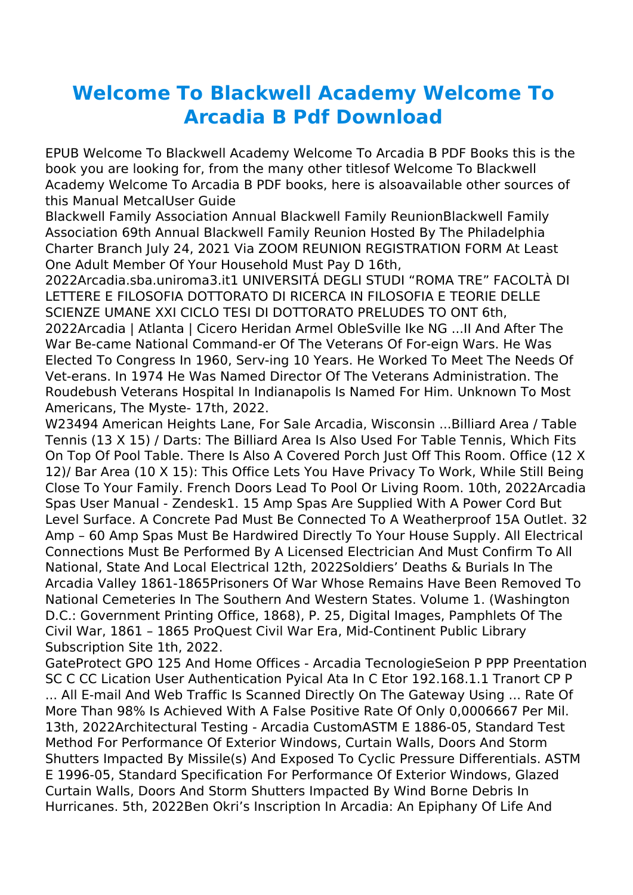## **Welcome To Blackwell Academy Welcome To Arcadia B Pdf Download**

EPUB Welcome To Blackwell Academy Welcome To Arcadia B PDF Books this is the book you are looking for, from the many other titlesof Welcome To Blackwell Academy Welcome To Arcadia B PDF books, here is alsoavailable other sources of this Manual MetcalUser Guide

Blackwell Family Association Annual Blackwell Family ReunionBlackwell Family Association 69th Annual Blackwell Family Reunion Hosted By The Philadelphia Charter Branch July 24, 2021 Via ZOOM REUNION REGISTRATION FORM At Least One Adult Member Of Your Household Must Pay D 16th,

2022Arcadia.sba.uniroma3.it1 UNIVERSITÁ DEGLI STUDI "ROMA TRE" FACOLTÀ DI LETTERE E FILOSOFIA DOTTORATO DI RICERCA IN FILOSOFIA E TEORIE DELLE SCIENZE UMANE XXI CICLO TESI DI DOTTORATO PRELUDES TO ONT 6th, 2022Arcadia | Atlanta | Cicero Heridan Armel ObleSville Ike NG ...II And After The War Be-came National Command-er Of The Veterans Of For-eign Wars. He Was Elected To Congress In 1960, Serv-ing 10 Years. He Worked To Meet The Needs Of Vet-erans. In 1974 He Was Named Director Of The Veterans Administration. The Roudebush Veterans Hospital In Indianapolis Is Named For Him. Unknown To Most Americans, The Myste- 17th, 2022.

W23494 American Heights Lane, For Sale Arcadia, Wisconsin ...Billiard Area / Table Tennis (13 X 15) / Darts: The Billiard Area Is Also Used For Table Tennis, Which Fits On Top Of Pool Table. There Is Also A Covered Porch Just Off This Room. Office (12 X 12)/ Bar Area (10 X 15): This Office Lets You Have Privacy To Work, While Still Being Close To Your Family. French Doors Lead To Pool Or Living Room. 10th, 2022Arcadia Spas User Manual - Zendesk1. 15 Amp Spas Are Supplied With A Power Cord But Level Surface. A Concrete Pad Must Be Connected To A Weatherproof 15A Outlet. 32 Amp – 60 Amp Spas Must Be Hardwired Directly To Your House Supply. All Electrical Connections Must Be Performed By A Licensed Electrician And Must Confirm To All National, State And Local Electrical 12th, 2022Soldiers' Deaths & Burials In The Arcadia Valley 1861-1865Prisoners Of War Whose Remains Have Been Removed To National Cemeteries In The Southern And Western States. Volume 1. (Washington D.C.: Government Printing Office, 1868), P. 25, Digital Images, Pamphlets Of The Civil War, 1861 – 1865 ProQuest Civil War Era, Mid-Continent Public Library Subscription Site 1th, 2022.

GateProtect GPO 125 And Home Offices - Arcadia TecnologieSeion P PPP Preentation SC C CC Lication User Authentication Pyical Ata In C Etor 192.168.1.1 Tranort CP P ... All E-mail And Web Traffic Is Scanned Directly On The Gateway Using ... Rate Of More Than 98% Is Achieved With A False Positive Rate Of Only 0,0006667 Per Mil. 13th, 2022Architectural Testing - Arcadia CustomASTM E 1886-05, Standard Test Method For Performance Of Exterior Windows, Curtain Walls, Doors And Storm Shutters Impacted By Missile(s) And Exposed To Cyclic Pressure Differentials. ASTM E 1996-05, Standard Specification For Performance Of Exterior Windows, Glazed Curtain Walls, Doors And Storm Shutters Impacted By Wind Borne Debris In Hurricanes. 5th, 2022Ben Okri's Inscription In Arcadia: An Epiphany Of Life And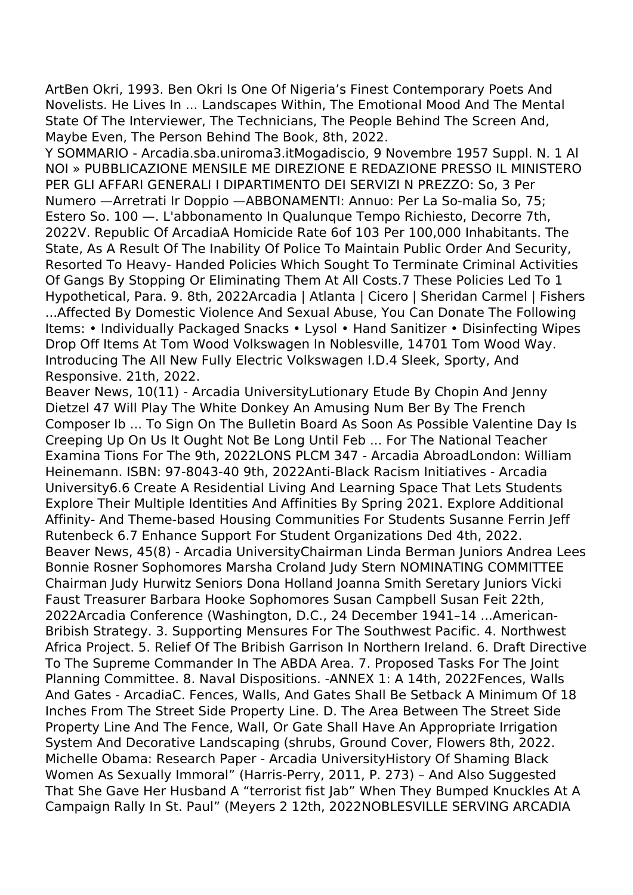ArtBen Okri, 1993. Ben Okri Is One Of Nigeria's Finest Contemporary Poets And Novelists. He Lives In ... Landscapes Within, The Emotional Mood And The Mental State Of The Interviewer, The Technicians, The People Behind The Screen And, Maybe Even, The Person Behind The Book, 8th, 2022.

Y SOMMARIO - Arcadia.sba.uniroma3.itMogadiscio, 9 Novembre 1957 Suppl. N. 1 Al NOI » PUBBLICAZIONE MENSILE ME DIREZIONE E REDAZIONE PRESSO IL MINISTERO PER GLI AFFARI GENERALI I DIPARTIMENTO DEI SERVIZI N PREZZO: So, 3 Per Numero - Arretrati Ir Doppio - ABBONAMENTI: Annuo: Per La So-malia So, 75; Estero So. 100 - L'abbonamento In Qualungue Tempo Richiesto, Decorre 7th, 2022V. Republic Of ArcadiaA Homicide Rate 6of 103 Per 100,000 Inhabitants. The State, As A Result Of The Inability Of Police To Maintain Public Order And Security, Resorted To Heavy- Handed Policies Which Sought To Terminate Criminal Activities Of Gangs By Stopping Or Eliminating Them At All Costs.7 These Policies Led To 1 Hypothetical, Para. 9. 8th, 2022Arcadia | Atlanta | Cicero | Sheridan Carmel | Fishers ...Affected By Domestic Violence And Sexual Abuse, You Can Donate The Following Items: • Individually Packaged Snacks • Lysol • Hand Sanitizer • Disinfecting Wipes Drop Off Items At Tom Wood Volkswagen In Noblesville, 14701 Tom Wood Way. Introducing The All New Fully Electric Volkswagen I.D.4 Sleek, Sporty, And Responsive. 21th, 2022.

Beaver News, 10(11) - Arcadia University Lutionary Etude By Chopin And Jenny Dietzel 47 Will Play The White Donkey An Amusing Num Ber By The French Composer Ib ... To Sign On The Bulletin Board As Soon As Possible Valentine Day Is Creeping Up On Us It Ought Not Be Long Until Feb ... For The National Teacher Examina Tions For The 9th, 2022LONS PLCM 347 - Arcadia AbroadLondon: William Heinemann. ISBN: 97-8043-40 9th, 2022Anti-Black Racism Initiatives - Arcadia University 6.6 Create A Residential Living And Learning Space That Lets Students Explore Their Multiple Identities And Affinities By Spring 2021. Explore Additional Affinity- And Theme-based Housing Communities For Students Susanne Ferrin Jeff Rutenbeck 6.7 Enhance Support For Student Organizations Ded 4th, 2022. Beaver News, 45(8) - Arcadia UniversityChairman Linda Berman Juniors Andrea Lees Bonnie Rosner Sophomores Marsha Croland Judy Stern NOMINATING COMMITTEE Chairman Judy Hurwitz Seniors Dona Holland Joanna Smith Seretary Juniors Vicki Faust Treasurer Barbara Hooke Sophomores Susan Campbell Susan Feit 22th, 2022Arcadia Conference (Washington, D.C., 24 December 1941-14 ...American-Bribish Strategy. 3. Supporting Mensures For The Southwest Pacific. 4. Northwest Africa Project. 5. Relief Of The Bribish Garrison In Northern Ireland. 6. Draft Directive To The Supreme Commander In The ABDA Area. 7. Proposed Tasks For The Joint Planning Committee. 8. Naval Dispositions. - ANNEX 1: A 14th, 2022 Fences, Walls And Gates - ArcadiaC. Fences, Walls, And Gates Shall Be Setback A Minimum Of 18 Inches From The Street Side Property Line. D. The Area Between The Street Side Property Line And The Fence, Wall, Or Gate Shall Have An Appropriate Irrigation System And Decorative Landscaping (shrubs, Ground Cover, Flowers 8th, 2022. Michelle Obama: Research Paper - Arcadia University History Of Shaming Black Women As Sexually Immoral" (Harris-Perry, 2011, P. 273) - And Also Suggested That She Gave Her Husband A "terrorist fist Jab" When They Bumped Knuckles At A Campaign Rally In St. Paul" (Meyers 2 12th, 2022NOBLESVILLE SERVING ARCADIA